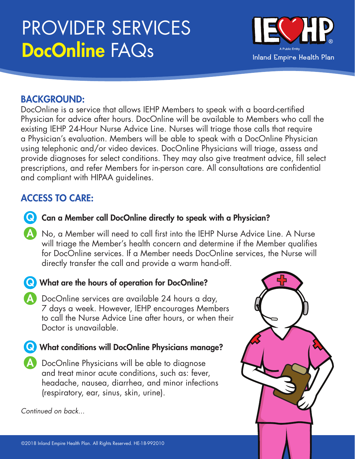# PROVIDER SERVICES DocOnline FAQs



### BACKGROUND:

DocOnline is a service that allows IEHP Members to speak with a board-certified Physician for advice after hours. DocOnline will be available to Members who call the existing IEHP 24-Hour Nurse Advice Line. Nurses will triage those calls that require a Physician's evaluation. Members will be able to speak with a DocOnline Physician using telephonic and/or video devices. DocOnline Physicians will triage, assess and provide diagnoses for select conditions. They may also give treatment advice, fill select prescriptions, and refer Members for in-person care. All consultations are confidential and compliant with HIPAA guidelines.

### ACCESS TO CARE:

- **Q** Can a Member call DocOnline directly to speak with a Physician?
- A No, a Member will need to call first into the IEHP Nurse Advice Line. A Nurse will triage the Member's health concern and determine if the Member qualifies for DocOnline services. If a Member needs DocOnline services, the Nurse will directly transfer the call and provide a warm hand-off.
- **Q** What are the hours of operation for DocOnline?
	- A DocOnline services are available 24 hours a day, 7 days a week. However, IEHP encourages Members to call the Nurse Advice Line after hours, or when their Doctor is unavailable.
- **Q** What conditions will DocOnline Physicians manage?
	- A DocOnline Physicians will be able to diagnose and treat minor acute conditions, such as: fever, headache, nausea, diarrhea, and minor infections (respiratory, ear, sinus, skin, urine).

*Continued on back...*